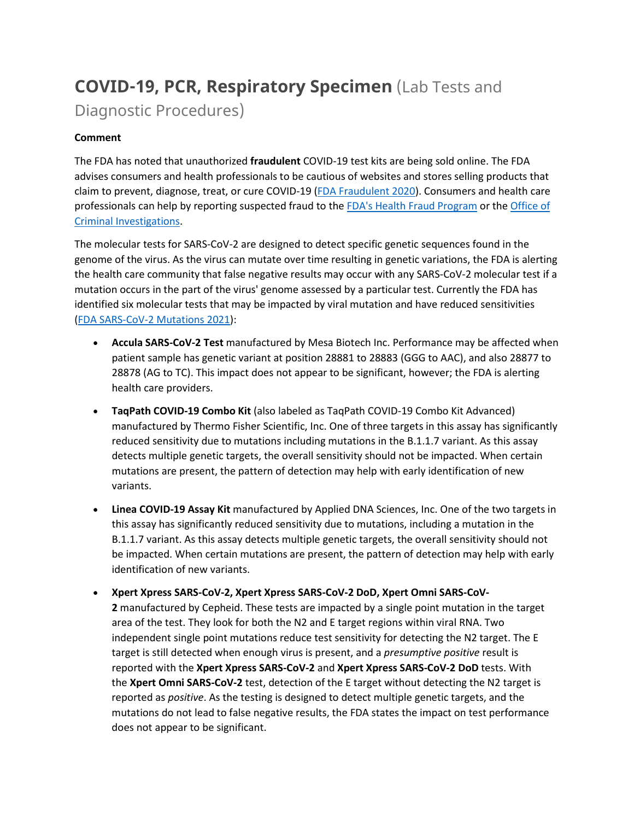# **COVID-19, PCR, Respiratory Specimen** (Lab Tests and Diagnostic Procedures)

# **Comment**

The FDA has noted that unauthorized **fraudulent** COVID-19 test kits are being sold online. The FDA advises consumers and health professionals to be cautious of websites and stores selling products that claim to prevent, diagnose, treat, or cure COVID-19 [\(FDA Fraudulent 2020\)](https://www.fda.gov/consumers/consumer-updates/beware-fraudulent-coronavirus-tests-vaccines-and-treatments?utm_campaign=FDA%20MedWatch%20-%20Fraudulent%20Coronavirus%20Tests%2C%20Vaccines%20and%20Treatments&utm_medium=email&utm_source=Eloqua). Consumers and health care professionals can help by reporting suspected fraud to the [FDA's Health Fraud Program](https://www.fda.gov/safety/report-problem-fda/reporting-unlawful-sales-medical-products-internet) or the [Office of](https://www.accessdata.fda.gov/scripts/email/oc/oci/contact.cfm)  [Criminal Investigations.](https://www.accessdata.fda.gov/scripts/email/oc/oci/contact.cfm)

The molecular tests for SARS-CoV-2 are designed to detect specific genetic sequences found in the genome of the virus. As the virus can mutate over time resulting in genetic variations, the FDA is alerting the health care community that false negative results may occur with any SARS-CoV-2 molecular test if a mutation occurs in the part of the virus' genome assessed by a particular test. Currently the FDA has identified six molecular tests that may be impacted by viral mutation and have reduced sensitivities [\(FDA SARS-CoV-2 Mutations 2021\)](https://www.fda.gov/medical-devices/coronavirus-covid-19-and-medical-devices/sars-cov-2-viral-mutations-impact-covid-19-tests):

- **Accula SARS-CoV-2 Test** manufactured by Mesa Biotech Inc. Performance may be affected when patient sample has genetic variant at position 28881 to 28883 (GGG to AAC), and also 28877 to 28878 (AG to TC). This impact does not appear to be significant, however; the FDA is alerting health care providers.
- **TaqPath COVID-19 Combo Kit** (also labeled as TaqPath COVID-19 Combo Kit Advanced) manufactured by Thermo Fisher Scientific, Inc. One of three targets in this assay has significantly reduced sensitivity due to mutations including mutations in the B.1.1.7 variant. As this assay detects multiple genetic targets, the overall sensitivity should not be impacted. When certain mutations are present, the pattern of detection may help with early identification of new variants.
- **Linea COVID-19 Assay Kit** manufactured by Applied DNA Sciences, Inc. One of the two targets in this assay has significantly reduced sensitivity due to mutations, including a mutation in the B.1.1.7 variant. As this assay detects multiple genetic targets, the overall sensitivity should not be impacted. When certain mutations are present, the pattern of detection may help with early identification of new variants.

• **Xpert Xpress SARS-CoV-2, Xpert Xpress SARS-CoV-2 DoD, Xpert Omni SARS-CoV-2** manufactured by Cepheid. These tests are impacted by a single point mutation in the target area of the test. They look for both the N2 and E target regions within viral RNA. Two independent single point mutations reduce test sensitivity for detecting the N2 target. The E target is still detected when enough virus is present, and a *presumptive positive* result is reported with the **Xpert Xpress SARS-CoV-2** and **Xpert Xpress SARS-CoV-2 DoD** tests. With the **Xpert Omni SARS-CoV-2** test, detection of the E target without detecting the N2 target is reported as *positive*. As the testing is designed to detect multiple genetic targets, and the mutations do not lead to false negative results, the FDA states the impact on test performance does not appear to be significant.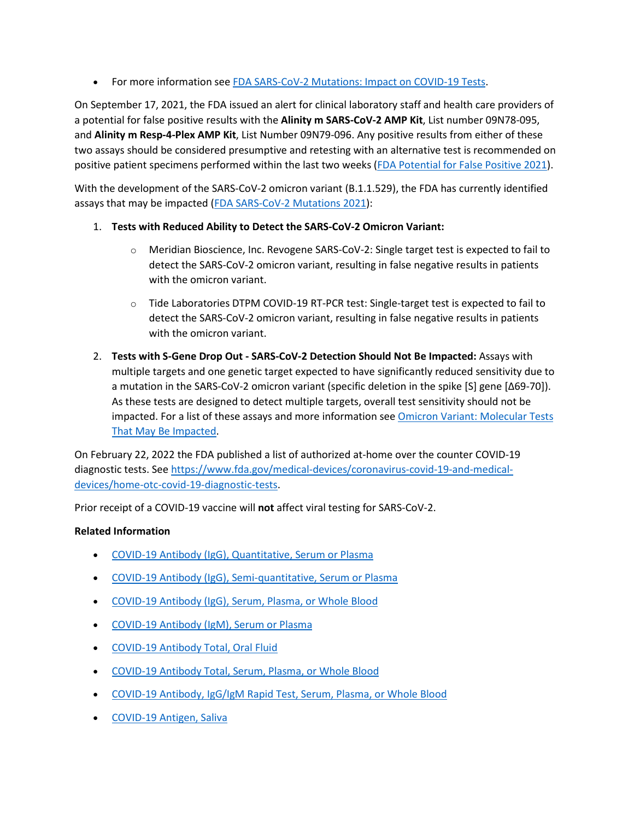• For more information see [FDA SARS-CoV-2 Mutations: Impact on COVID-19 Tests.](https://www.fda.gov/medical-devices/coronavirus-covid-19-and-medical-devices/sars-cov-2-viral-mutations-impact-covid-19-tests)

On September 17, 2021, the FDA issued an alert for clinical laboratory staff and health care providers of a potential for false positive results with the **Alinity m SARS-CoV-2 AMP Kit**, List number 09N78-095, and **Alinity m Resp-4-Plex AMP Kit**, List Number 09N79-096. Any positive results from either of these two assays should be considered presumptive and retesting with an alternative test is recommended on positive patient specimens performed within the last two weeks [\(FDA Potential for False Positive 2021\)](https://www.fda.gov/medical-devices/letters-health-care-providers/potential-false-positive-results-abbott-molecular-inc-alinity-m-sars-cov-2-amp-and-alinity-m-resp-4).

With the development of the SARS-CoV-2 omicron variant (B.1.1.529), the FDA has currently identified assays that may be impacted [\(FDA SARS-CoV-2 Mutations 2021\)](https://www.fda.gov/medical-devices/coronavirus-covid-19-and-medical-devices/sars-cov-2-viral-mutations-impact-covid-19-tests):

- 1. **Tests with Reduced Ability to Detect the SARS-CoV-2 Omicron Variant:**
	- o Meridian Bioscience, Inc. Revogene SARS-CoV-2: Single target test is expected to fail to detect the SARS-CoV-2 omicron variant, resulting in false negative results in patients with the omicron variant.
	- $\circ$  Tide Laboratories DTPM COVID-19 RT-PCR test: Single-target test is expected to fail to detect the SARS-CoV-2 omicron variant, resulting in false negative results in patients with the omicron variant.
- 2. **Tests with S-Gene Drop Out SARS-CoV-2 Detection Should Not Be Impacted:** Assays with multiple targets and one genetic target expected to have significantly reduced sensitivity due to a mutation in the SARS-CoV-2 omicron variant (specific deletion in the spike [S] gene [Δ69-70]). As these tests are designed to detect multiple targets, overall test sensitivity should not be impacted. For a list of these assays and more information see [Omicron Variant: Molecular Tests](https://www.fda.gov/medical-devices/coronavirus-covid-19-and-medical-devices/sars-cov-2-viral-mutations-impact-covid-19-tests#omicron)  [That May Be Impacted.](https://www.fda.gov/medical-devices/coronavirus-covid-19-and-medical-devices/sars-cov-2-viral-mutations-impact-covid-19-tests#omicron)

On February 22, 2022 the FDA published a list of authorized at-home over the counter COVID-19 diagnostic tests. See [https://www.fda.gov/medical-devices/coronavirus-covid-19-and-medical](https://www.fda.gov/medical-devices/coronavirus-covid-19-and-medical-devices/home-otc-covid-19-diagnostic-tests)[devices/home-otc-covid-19-diagnostic-tests.](https://www.fda.gov/medical-devices/coronavirus-covid-19-and-medical-devices/home-otc-covid-19-diagnostic-tests)

Prior receipt of a COVID-19 vaccine will **not** affect viral testing for SARS-CoV-2.

### **Related Information**

- [COVID-19 Antibody \(IgG\), Quantitative, Serum or Plasma](https://online.lexi.com/lco/action/doc/retrieve/docid/lthdph/7121093)
- [COVID-19 Antibody \(IgG\), Semi-quantitative, Serum or Plasma](https://online.lexi.com/lco/action/doc/retrieve/docid/lthdph/7077895)
- [COVID-19 Antibody \(IgG\), Serum, Plasma, or Whole Blood](https://online.lexi.com/lco/action/doc/retrieve/docid/lthdph/6940954)
- [COVID-19 Antibody \(IgM\), Serum or Plasma](https://online.lexi.com/lco/action/doc/retrieve/docid/lthdph/7150051)
- [COVID-19 Antibody Total, Oral Fluid](https://online.lexi.com/lco/action/doc/retrieve/docid/lthdph/7111648)
- [COVID-19 Antibody Total, Serum, Plasma, or Whole Blood](https://online.lexi.com/lco/action/doc/retrieve/docid/lthdph/6946612)
- [COVID-19 Antibody, IgG/IgM Rapid Test, Serum, Plasma, or Whole Blood](https://online.lexi.com/lco/action/doc/retrieve/docid/lthdph/6935326)
- [COVID-19 Antigen, Saliva](https://online.lexi.com/lco/action/doc/retrieve/docid/lthdph/7155422)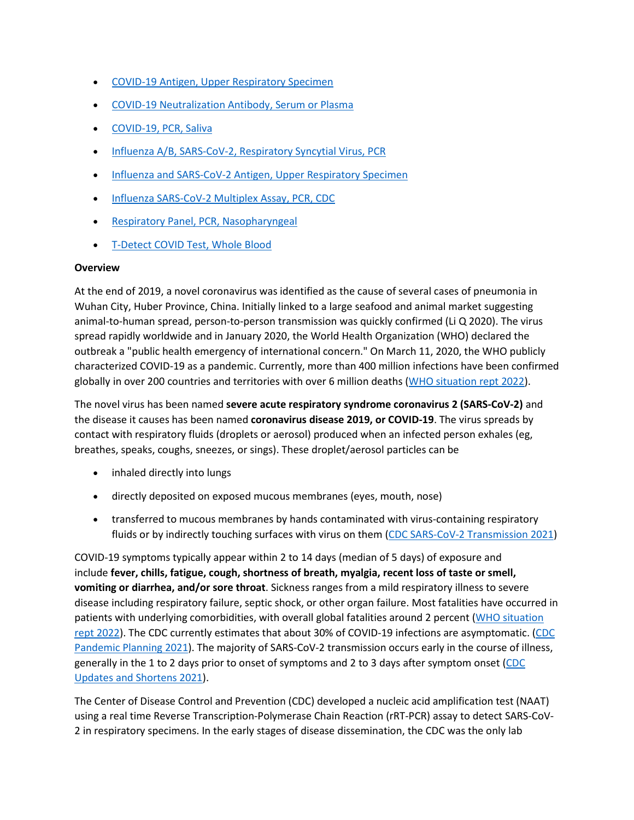- [COVID-19 Antigen, Upper Respiratory Specimen](https://online.lexi.com/lco/action/doc/retrieve/docid/lthdph/6947693)
- [COVID-19 Neutralization Antibody, Serum or Plasma](https://online.lexi.com/lco/action/doc/retrieve/docid/lthdph/7011669)
- [COVID-19, PCR, Saliva](https://online.lexi.com/lco/action/doc/retrieve/docid/lthdph/6958856)
- [Influenza A/B, SARS-CoV-2, Respiratory Syncytial Virus, PCR](https://online.lexi.com/lco/action/doc/retrieve/docid/lthdph/7128794)
- [Influenza and SARS-CoV-2 Antigen, Upper Respiratory Specimen](https://online.lexi.com/lco/action/doc/retrieve/docid/lthdph/7063859)
- [Influenza SARS-CoV-2 Multiplex Assay, PCR, CDC](https://online.lexi.com/lco/action/doc/retrieve/docid/lthdph/6990707)
- [Respiratory Panel, PCR, Nasopharyngeal](https://online.lexi.com/lco/action/doc/retrieve/docid/lthdph/7106510)
- [T-Detect COVID Test, Whole Blood](https://online.lexi.com/lco/action/doc/retrieve/docid/lthdph/7145964)

#### **Overview**

At the end of 2019, a novel coronavirus was identified as the cause of several cases of pneumonia in Wuhan City, Huber Province, China. Initially linked to a large seafood and animal market suggesting animal-to-human spread, person-to-person transmission was quickly confirmed (Li Q 2020). The virus spread rapidly worldwide and in January 2020, the World Health Organization (WHO) declared the outbreak a "public health emergency of international concern." On March 11, 2020, the WHO publicly characterized COVID-19 as a pandemic. Currently, more than 400 million infections have been confirmed globally in over 200 countries and territories with over 6 million deaths [\(WHO situation rept 2022\)](https://www.who.int/emergencies/diseases/novel-coronavirus-2019/situation-reports).

The novel virus has been named **severe acute respiratory syndrome coronavirus 2 (SARS-CoV-2)** and the disease it causes has been named **coronavirus disease 2019, or COVID-19**. The virus spreads by contact with respiratory fluids (droplets or aerosol) produced when an infected person exhales (eg, breathes, speaks, coughs, sneezes, or sings). These droplet/aerosol particles can be

- inhaled directly into lungs
- directly deposited on exposed mucous membranes (eyes, mouth, nose)
- transferred to mucous membranes by hands contaminated with virus-containing respiratory fluids or by indirectly touching surfaces with virus on them [\(CDC SARS-CoV-2 Transmission 2021\)](https://www.cdc.gov/coronavirus/2019-ncov/science/science-briefs/sars-cov-2-transmission.html)

COVID-19 symptoms typically appear within 2 to 14 days (median of 5 days) of exposure and include **fever, chills, fatigue, cough, shortness of breath, myalgia, recent loss of taste or smell, vomiting or diarrhea, and/or sore throat**. Sickness ranges from a mild respiratory illness to severe disease including respiratory failure, septic shock, or other organ failure. Most fatalities have occurred in patients with underlying comorbidities, with overall global fatalities around 2 percent [\(WHO situation](https://www.who.int/emergencies/diseases/novel-coronavirus-2019/situation-reports)  [rept 2022\)](https://www.who.int/emergencies/diseases/novel-coronavirus-2019/situation-reports). The CDC currently estimates that about 30% of COVID-19 infections are asymptomatic. [\(CDC](https://www.cdc.gov/coronavirus/2019-ncov/hcp/planning-scenarios.html)  [Pandemic Planning 2021\)](https://www.cdc.gov/coronavirus/2019-ncov/hcp/planning-scenarios.html). The majority of SARS-CoV-2 transmission occurs early in the course of illness, generally in the 1 to 2 days prior to onset of symptoms and 2 to 3 days after symptom onset [\(CDC](https://www.cdc.gov/media/releases/2021/s1227-isolation-quarantine-guidance.html)  [Updates and Shortens 2021\)](https://www.cdc.gov/media/releases/2021/s1227-isolation-quarantine-guidance.html).

The Center of Disease Control and Prevention (CDC) developed a nucleic acid amplification test (NAAT) using a real time Reverse Transcription-Polymerase Chain Reaction (rRT-PCR) assay to detect SARS-CoV-2 in respiratory specimens. In the early stages of disease dissemination, the CDC was the only lab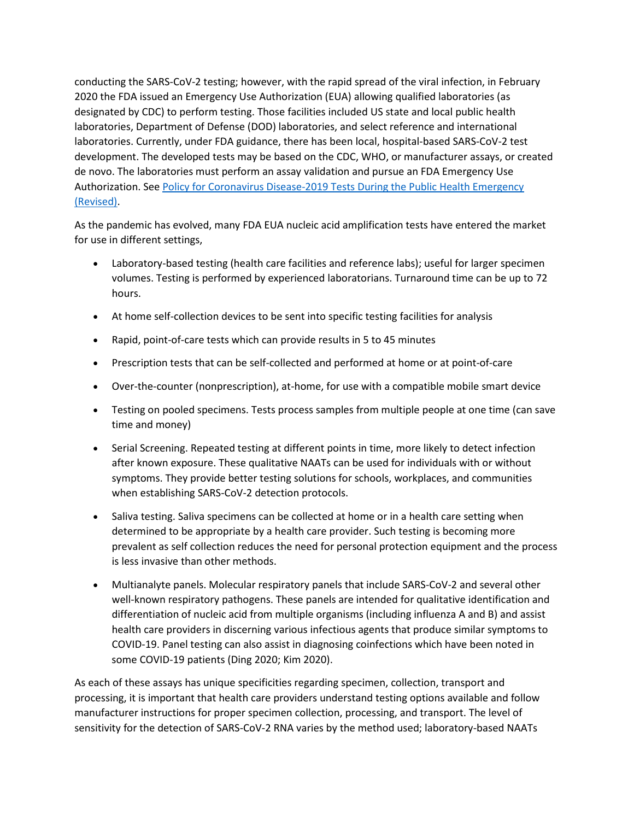conducting the SARS-CoV-2 testing; however, with the rapid spread of the viral infection, in February 2020 the FDA issued an Emergency Use Authorization (EUA) allowing qualified laboratories (as designated by CDC) to perform testing. Those facilities included US state and local public health laboratories, Department of Defense (DOD) laboratories, and select reference and international laboratories. Currently, under FDA guidance, there has been local, hospital-based SARS-CoV-2 test development. The developed tests may be based on the CDC, WHO, or manufacturer assays, or created de novo. The laboratories must perform an assay validation and pursue an FDA Emergency Use Authorization. See [Policy for Coronavirus Disease-2019 Tests During the Public Health Emergency](https://www.fda.gov/regulatory-information/search-fda-guidance-documents/policy-coronavirus-disease-2019-tests-during-public-health-emergency-revised)  [\(Revised\).](https://www.fda.gov/regulatory-information/search-fda-guidance-documents/policy-coronavirus-disease-2019-tests-during-public-health-emergency-revised)

As the pandemic has evolved, many FDA EUA nucleic acid amplification tests have entered the market for use in different settings,

- Laboratory-based testing (health care facilities and reference labs); useful for larger specimen volumes. Testing is performed by experienced laboratorians. Turnaround time can be up to 72 hours.
- At home self-collection devices to be sent into specific testing facilities for analysis
- Rapid, point-of-care tests which can provide results in 5 to 45 minutes
- Prescription tests that can be self-collected and performed at home or at point-of-care
- Over-the-counter (nonprescription), at-home, for use with a compatible mobile smart device
- Testing on pooled specimens. Tests process samples from multiple people at one time (can save time and money)
- Serial Screening. Repeated testing at different points in time, more likely to detect infection after known exposure. These qualitative NAATs can be used for individuals with or without symptoms. They provide better testing solutions for schools, workplaces, and communities when establishing SARS-CoV-2 detection protocols.
- Saliva testing. Saliva specimens can be collected at home or in a health care setting when determined to be appropriate by a health care provider. Such testing is becoming more prevalent as self collection reduces the need for personal protection equipment and the process is less invasive than other methods.
- Multianalyte panels. Molecular respiratory panels that include SARS-CoV-2 and several other well-known respiratory pathogens. These panels are intended for qualitative identification and differentiation of nucleic acid from multiple organisms (including influenza A and B) and assist health care providers in discerning various infectious agents that produce similar symptoms to COVID-19. Panel testing can also assist in diagnosing coinfections which have been noted in some COVID-19 patients (Ding 2020; Kim 2020).

As each of these assays has unique specificities regarding specimen, collection, transport and processing, it is important that health care providers understand testing options available and follow manufacturer instructions for proper specimen collection, processing, and transport. The level of sensitivity for the detection of SARS-CoV-2 RNA varies by the method used; laboratory-based NAATs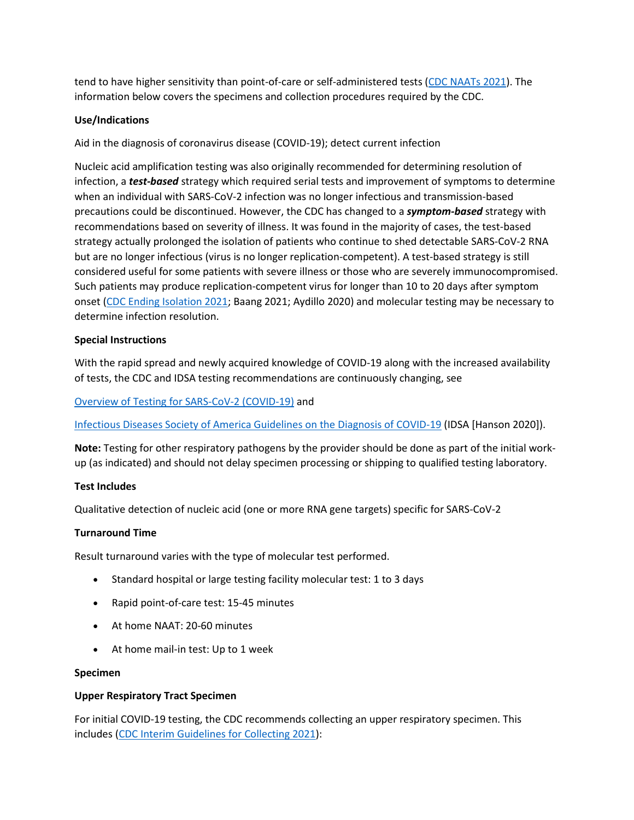tend to have higher sensitivity than point-of-care or self-administered tests [\(CDC NAATs 2021\)](https://www.cdc.gov/coronavirus/2019-ncov/lab/naats.html). The information below covers the specimens and collection procedures required by the CDC.

## **Use/Indications**

Aid in the diagnosis of coronavirus disease (COVID-19); detect current infection

Nucleic acid amplification testing was also originally recommended for determining resolution of infection, a *test-based* strategy which required serial tests and improvement of symptoms to determine when an individual with SARS-CoV-2 infection was no longer infectious and transmission-based precautions could be discontinued. However, the CDC has changed to a *symptom-based* strategy with recommendations based on severity of illness. It was found in the majority of cases, the test-based strategy actually prolonged the isolation of patients who continue to shed detectable SARS-CoV-2 RNA but are no longer infectious (virus is no longer replication-competent). A test-based strategy is still considered useful for some patients with severe illness or those who are severely immunocompromised. Such patients may produce replication-competent virus for longer than 10 to 20 days after symptom onset [\(CDC Ending Isolation 2021;](https://www.cdc.gov/coronavirus/2019-ncov/hcp/duration-isolation.html) Baang 2021; Aydillo 2020) and molecular testing may be necessary to determine infection resolution.

### **Special Instructions**

With the rapid spread and newly acquired knowledge of COVID-19 along with the increased availability of tests, the CDC and IDSA testing recommendations are continuously changing, see

[Overview of Testing for SARS-CoV-2 \(COVID-19\)](https://www.cdc.gov/coronavirus/2019-ncov/hcp/testing-overview.html) and

[Infectious Diseases Society of America Guidelines on the Diagnosis of COVID-19](https://www.idsociety.org/practice-guideline/covid-19-guideline-diagnostics/) (IDSA [Hanson 2020]).

**Note:** Testing for other respiratory pathogens by the provider should be done as part of the initial workup (as indicated) and should not delay specimen processing or shipping to qualified testing laboratory.

### **Test Includes**

Qualitative detection of nucleic acid (one or more RNA gene targets) specific for SARS-CoV-2

### **Turnaround Time**

Result turnaround varies with the type of molecular test performed.

- Standard hospital or large testing facility molecular test: 1 to 3 days
- Rapid point-of-care test: 15-45 minutes
- At home NAAT: 20-60 minutes
- At home mail-in test: Up to 1 week

#### **Specimen**

### **Upper Respiratory Tract Specimen**

For initial COVID-19 testing, the CDC recommends collecting an upper respiratory specimen. This includes [\(CDC Interim Guidelines for Collecting 2021\)](https://www.cdc.gov/coronavirus/2019-nCoV/lab/guidelines-clinical-specimens.html):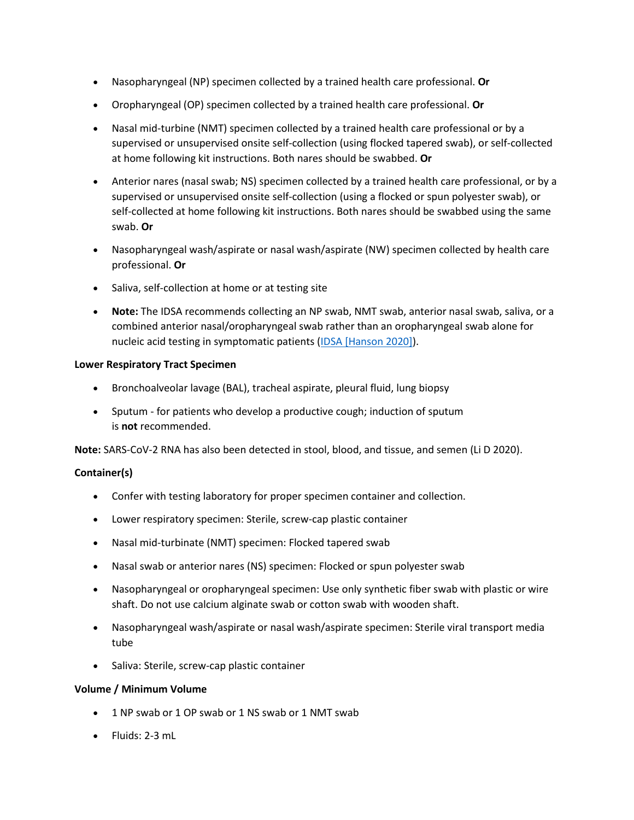- Nasopharyngeal (NP) specimen collected by a trained health care professional. **Or**
- Oropharyngeal (OP) specimen collected by a trained health care professional. **Or**
- Nasal mid-turbine (NMT) specimen collected by a trained health care professional or by a supervised or unsupervised onsite self-collection (using flocked tapered swab), or self-collected at home following kit instructions. Both nares should be swabbed. **Or**
- Anterior nares (nasal swab; NS) specimen collected by a trained health care professional, or by a supervised or unsupervised onsite self-collection (using a flocked or spun polyester swab), or self-collected at home following kit instructions. Both nares should be swabbed using the same swab. **Or**
- Nasopharyngeal wash/aspirate or nasal wash/aspirate (NW) specimen collected by health care professional. **Or**
- Saliva, self-collection at home or at testing site
- **Note:** The IDSA recommends collecting an NP swab, NMT swab, anterior nasal swab, saliva, or a combined anterior nasal/oropharyngeal swab rather than an oropharyngeal swab alone for nucleic acid testing in symptomatic patients [\(IDSA \[Hanson 2020\]\)](https://www.idsociety.org/practice-guideline/covid-19-guideline-diagnostics/).

#### **Lower Respiratory Tract Specimen**

- Bronchoalveolar lavage (BAL), tracheal aspirate, pleural fluid, lung biopsy
- Sputum for patients who develop a productive cough; induction of sputum is **not** recommended.

**Note:** SARS-CoV-2 RNA has also been detected in stool, blood, and tissue, and semen (Li D 2020).

### **Container(s)**

- Confer with testing laboratory for proper specimen container and collection.
- Lower respiratory specimen: Sterile, screw-cap plastic container
- Nasal mid-turbinate (NMT) specimen: Flocked tapered swab
- Nasal swab or anterior nares (NS) specimen: Flocked or spun polyester swab
- Nasopharyngeal or oropharyngeal specimen: Use only synthetic fiber swab with plastic or wire shaft. Do not use calcium alginate swab or cotton swab with wooden shaft.
- Nasopharyngeal wash/aspirate or nasal wash/aspirate specimen: Sterile viral transport media tube
- Saliva: Sterile, screw-cap plastic container

#### **Volume / Minimum Volume**

- 1 NP swab or 1 OP swab or 1 NS swab or 1 NMT swab
- Fluids: 2-3 mL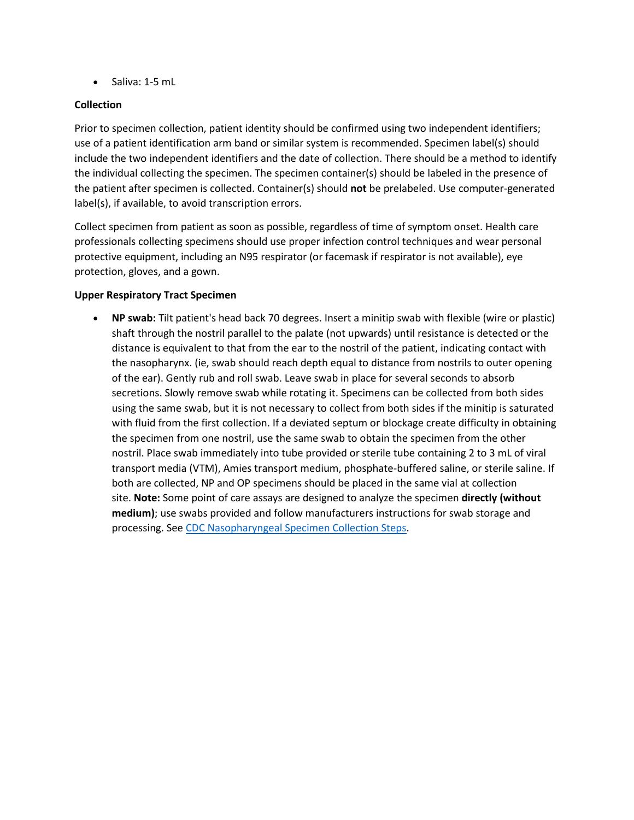• Saliva: 1-5 mL

## **Collection**

Prior to specimen collection, patient identity should be confirmed using two independent identifiers; use of a patient identification arm band or similar system is recommended. Specimen label(s) should include the two independent identifiers and the date of collection. There should be a method to identify the individual collecting the specimen. The specimen container(s) should be labeled in the presence of the patient after specimen is collected. Container(s) should **not** be prelabeled. Use computer-generated label(s), if available, to avoid transcription errors.

Collect specimen from patient as soon as possible, regardless of time of symptom onset. Health care professionals collecting specimens should use proper infection control techniques and wear personal protective equipment, including an N95 respirator (or facemask if respirator is not available), eye protection, gloves, and a gown.

### **Upper Respiratory Tract Specimen**

• **NP swab:** Tilt patient's head back 70 degrees. Insert a minitip swab with flexible (wire or plastic) shaft through the nostril parallel to the palate (not upwards) until resistance is detected or the distance is equivalent to that from the ear to the nostril of the patient, indicating contact with the nasopharynx. (ie, swab should reach depth equal to distance from nostrils to outer opening of the ear). Gently rub and roll swab. Leave swab in place for several seconds to absorb secretions. Slowly remove swab while rotating it. Specimens can be collected from both sides using the same swab, but it is not necessary to collect from both sides if the minitip is saturated with fluid from the first collection. If a deviated septum or blockage create difficulty in obtaining the specimen from one nostril, use the same swab to obtain the specimen from the other nostril. Place swab immediately into tube provided or sterile tube containing 2 to 3 mL of viral transport media (VTM), Amies transport medium, phosphate-buffered saline, or sterile saline. If both are collected, NP and OP specimens should be placed in the same vial at collection site. **Note:** Some point of care assays are designed to analyze the specimen **directly (without medium)**; use swabs provided and follow manufacturers instructions for swab storage and processing. See [CDC Nasopharyngeal Specimen Collection Steps.](https://www.cdc.gov/coronavirus/2019-ncov/downloads/lab/NP_Specimen_Collection_Infographic_FINAL_508.pdf)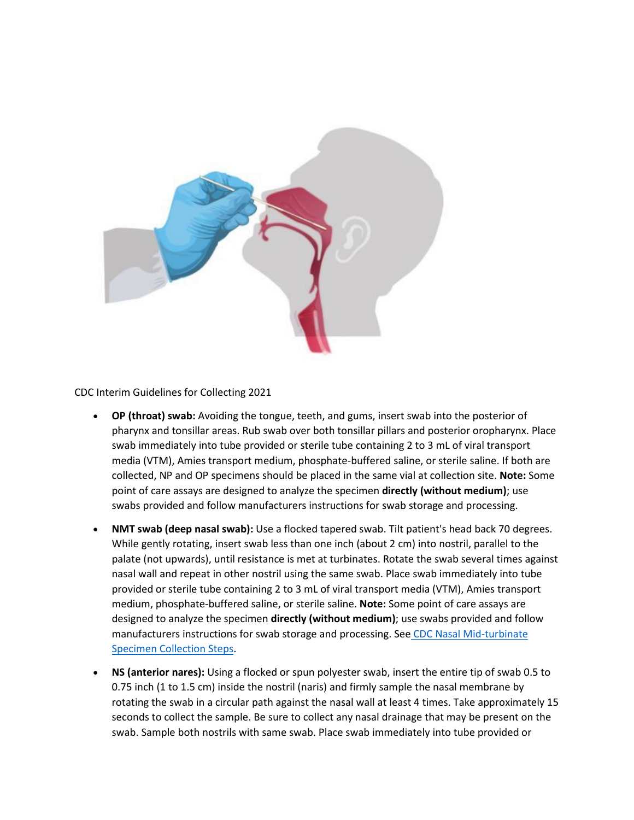

CDC Interim Guidelines for Collecting 2021

- **OP (throat) swab:** Avoiding the tongue, teeth, and gums, insert swab into the posterior of pharynx and tonsillar areas. Rub swab over both tonsillar pillars and posterior oropharynx. Place swab immediately into tube provided or sterile tube containing 2 to 3 mL of viral transport media (VTM), Amies transport medium, phosphate-buffered saline, or sterile saline. If both are collected, NP and OP specimens should be placed in the same vial at collection site. **Note:** Some point of care assays are designed to analyze the specimen **directly (without medium)**; use swabs provided and follow manufacturers instructions for swab storage and processing.
- **NMT swab (deep nasal swab):** Use a flocked tapered swab. Tilt patient's head back 70 degrees. While gently rotating, insert swab less than one inch (about 2 cm) into nostril, parallel to the palate (not upwards), until resistance is met at turbinates. Rotate the swab several times against nasal wall and repeat in other nostril using the same swab. Place swab immediately into tube provided or sterile tube containing 2 to 3 mL of viral transport media (VTM), Amies transport medium, phosphate-buffered saline, or sterile saline. **Note:** Some point of care assays are designed to analyze the specimen **directly (without medium)**; use swabs provided and follow manufacturers instructions for swab storage and processing. See [CDC Nasal Mid-turbinate](https://www.cdc.gov/coronavirus/2019-ncov/downloads/lab/NMT_Specimen_Collection_Infographic_FINAL_508.pdf)  [Specimen Collection Steps.](https://www.cdc.gov/coronavirus/2019-ncov/downloads/lab/NMT_Specimen_Collection_Infographic_FINAL_508.pdf)
- **NS (anterior nares):** Using a flocked or spun polyester swab, insert the entire tip of swab 0.5 to 0.75 inch (1 to 1.5 cm) inside the nostril (naris) and firmly sample the nasal membrane by rotating the swab in a circular path against the nasal wall at least 4 times. Take approximately 15 seconds to collect the sample. Be sure to collect any nasal drainage that may be present on the swab. Sample both nostrils with same swab. Place swab immediately into tube provided or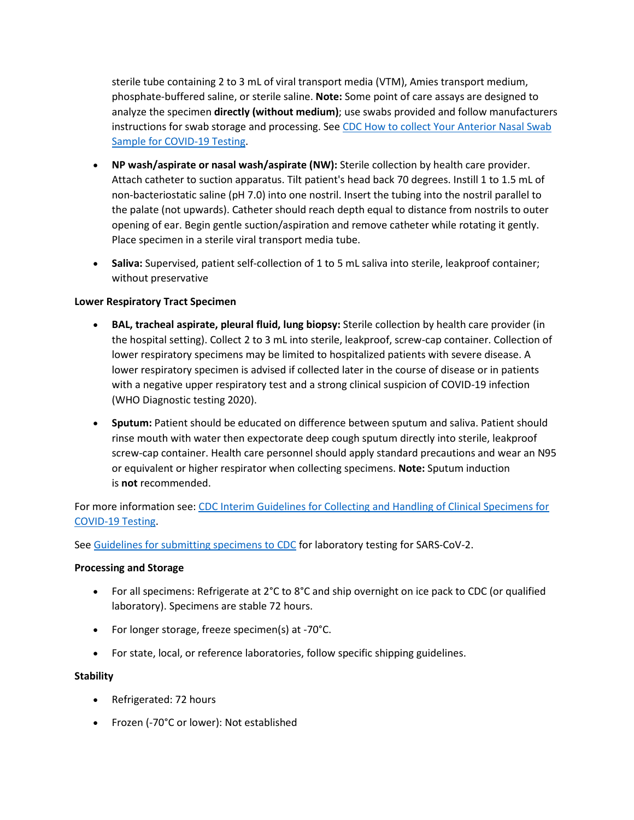sterile tube containing 2 to 3 mL of viral transport media (VTM), Amies transport medium, phosphate-buffered saline, or sterile saline. **Note:** Some point of care assays are designed to analyze the specimen **directly (without medium)**; use swabs provided and follow manufacturers instructions for swab storage and processing. See CDC How to collect Your Anterior Nasal Swab [Sample for COVID-19 Testing.](https://www.cdc.gov/coronavirus/2019-ncov/testing/How-To-Collect-Anterior-Nasal-Specimen-for-COVID-19.pdf)

- **NP wash/aspirate or nasal wash/aspirate (NW):** Sterile collection by health care provider. Attach catheter to suction apparatus. Tilt patient's head back 70 degrees. Instill 1 to 1.5 mL of non-bacteriostatic saline (pH 7.0) into one nostril. Insert the tubing into the nostril parallel to the palate (not upwards). Catheter should reach depth equal to distance from nostrils to outer opening of ear. Begin gentle suction/aspiration and remove catheter while rotating it gently. Place specimen in a sterile viral transport media tube.
- **Saliva:** Supervised, patient self-collection of 1 to 5 mL saliva into sterile, leakproof container; without preservative

## **Lower Respiratory Tract Specimen**

- **BAL, tracheal aspirate, pleural fluid, lung biopsy:** Sterile collection by health care provider (in the hospital setting). Collect 2 to 3 mL into sterile, leakproof, screw-cap container. Collection of lower respiratory specimens may be limited to hospitalized patients with severe disease. A lower respiratory specimen is advised if collected later in the course of disease or in patients with a negative upper respiratory test and a strong clinical suspicion of COVID-19 infection (WHO Diagnostic testing 2020).
- **Sputum:** Patient should be educated on difference between sputum and saliva. Patient should rinse mouth with water then expectorate deep cough sputum directly into sterile, leakproof screw-cap container. Health care personnel should apply standard precautions and wear an N95 or equivalent or higher respirator when collecting specimens. **Note:** Sputum induction is **not** recommended.

For more information see: [CDC Interim Guidelines for Collecting and Handling of Clinical Specimens for](https://www.cdc.gov/coronavirus/2019-ncov/lab/guidelines-clinical-specimens.html?CDC_AA_refVal=https%3A%2F%2Fwww.cdc.gov%2Fcoronavirus%2F2019-ncov%2Fguidelines-clinical-specimens.html)  [COVID-19 Testing.](https://www.cdc.gov/coronavirus/2019-ncov/lab/guidelines-clinical-specimens.html?CDC_AA_refVal=https%3A%2F%2Fwww.cdc.gov%2Fcoronavirus%2F2019-ncov%2Fguidelines-clinical-specimens.html)

See [Guidelines for submitting specimens to CDC](https://www.cdc.gov/coronavirus/2019-ncov/downloads/COVID-19-Specimen-Submission-Guidance.pdf) for laboratory testing for SARS-CoV-2.

### **Processing and Storage**

- For all specimens: Refrigerate at 2°C to 8°C and ship overnight on ice pack to CDC (or qualified laboratory). Specimens are stable 72 hours.
- For longer storage, freeze specimen(s) at -70°C.
- For state, local, or reference laboratories, follow specific shipping guidelines.

### **Stability**

- Refrigerated: 72 hours
- Frozen (-70°C or lower): Not established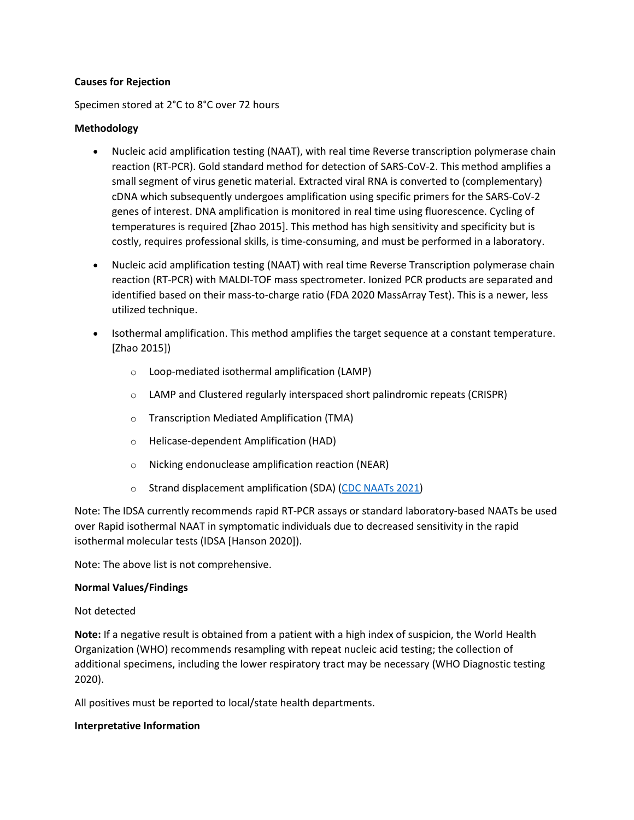#### **Causes for Rejection**

#### Specimen stored at 2°C to 8°C over 72 hours

### **Methodology**

- Nucleic acid amplification testing (NAAT), with real time Reverse transcription polymerase chain reaction (RT-PCR). Gold standard method for detection of SARS-CoV-2. This method amplifies a small segment of virus genetic material. Extracted viral RNA is converted to (complementary) cDNA which subsequently undergoes amplification using specific primers for the SARS-CoV-2 genes of interest. DNA amplification is monitored in real time using fluorescence. Cycling of temperatures is required [Zhao 2015]. This method has high sensitivity and specificity but is costly, requires professional skills, is time-consuming, and must be performed in a laboratory.
- Nucleic acid amplification testing (NAAT) with real time Reverse Transcription polymerase chain reaction (RT-PCR) with MALDI-TOF mass spectrometer. Ionized PCR products are separated and identified based on their mass-to-charge ratio (FDA 2020 MassArray Test). This is a newer, less utilized technique.
- Isothermal amplification. This method amplifies the target sequence at a constant temperature. [Zhao 2015])
	- o Loop-mediated isothermal amplification (LAMP)
	- o LAMP and Clustered regularly interspaced short palindromic repeats (CRISPR)
	- o Transcription Mediated Amplification (TMA)
	- o Helicase-dependent Amplification (HAD)
	- o Nicking endonuclease amplification reaction (NEAR)
	- o Strand displacement amplification (SDA) [\(CDC NAATs 2021\)](https://www.cdc.gov/coronavirus/2019-ncov/lab/naats.html)

Note: The IDSA currently recommends rapid RT-PCR assays or standard laboratory-based NAATs be used over Rapid isothermal NAAT in symptomatic individuals due to decreased sensitivity in the rapid isothermal molecular tests (IDSA [Hanson 2020]).

Note: The above list is not comprehensive.

#### **Normal Values/Findings**

Not detected

**Note:** If a negative result is obtained from a patient with a high index of suspicion, the World Health Organization (WHO) recommends resampling with repeat nucleic acid testing; the collection of additional specimens, including the lower respiratory tract may be necessary (WHO Diagnostic testing 2020).

All positives must be reported to local/state health departments.

### **Interpretative Information**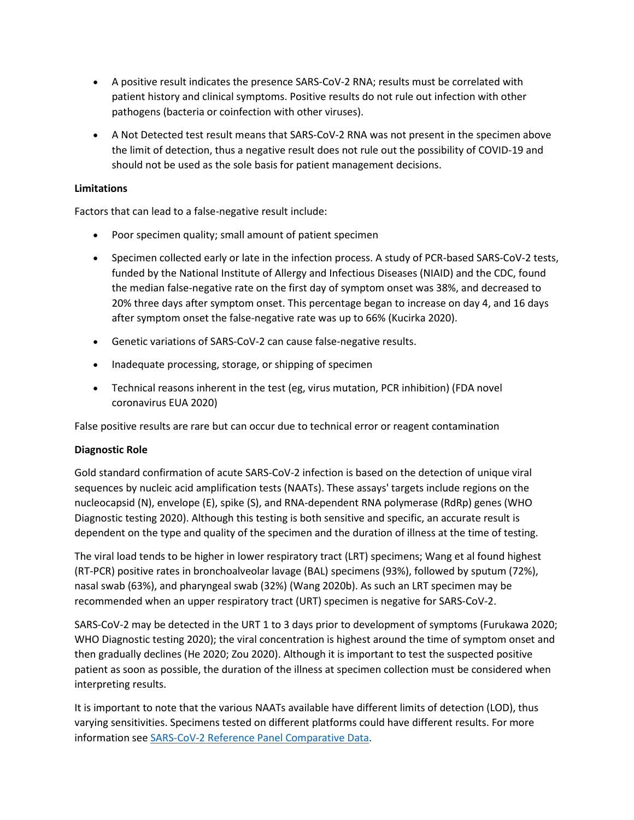- A positive result indicates the presence SARS-CoV-2 RNA; results must be correlated with patient history and clinical symptoms. Positive results do not rule out infection with other pathogens (bacteria or coinfection with other viruses).
- A Not Detected test result means that SARS-CoV-2 RNA was not present in the specimen above the limit of detection, thus a negative result does not rule out the possibility of COVID-19 and should not be used as the sole basis for patient management decisions.

## **Limitations**

Factors that can lead to a false-negative result include:

- Poor specimen quality; small amount of patient specimen
- Specimen collected early or late in the infection process. A study of PCR-based SARS-CoV-2 tests, funded by the National Institute of Allergy and Infectious Diseases (NIAID) and the CDC, found the median false-negative rate on the first day of symptom onset was 38%, and decreased to 20% three days after symptom onset. This percentage began to increase on day 4, and 16 days after symptom onset the false-negative rate was up to 66% (Kucirka 2020).
- Genetic variations of SARS-CoV-2 can cause false-negative results.
- Inadequate processing, storage, or shipping of specimen
- Technical reasons inherent in the test (eg, virus mutation, PCR inhibition) (FDA novel coronavirus EUA 2020)

False positive results are rare but can occur due to technical error or reagent contamination

### **Diagnostic Role**

Gold standard confirmation of acute SARS-CoV-2 infection is based on the detection of unique viral sequences by nucleic acid amplification tests (NAATs). These assays' targets include regions on the nucleocapsid (N), envelope (E), spike (S), and RNA-dependent RNA polymerase (RdRp) genes (WHO Diagnostic testing 2020). Although this testing is both sensitive and specific, an accurate result is dependent on the type and quality of the specimen and the duration of illness at the time of testing.

The viral load tends to be higher in lower respiratory tract (LRT) specimens; Wang et al found highest (RT-PCR) positive rates in bronchoalveolar lavage (BAL) specimens (93%), followed by sputum (72%), nasal swab (63%), and pharyngeal swab (32%) (Wang 2020b). As such an LRT specimen may be recommended when an upper respiratory tract (URT) specimen is negative for SARS-CoV-2.

SARS-CoV-2 may be detected in the URT 1 to 3 days prior to development of symptoms (Furukawa 2020; WHO Diagnostic testing 2020); the viral concentration is highest around the time of symptom onset and then gradually declines (He 2020; Zou 2020). Although it is important to test the suspected positive patient as soon as possible, the duration of the illness at specimen collection must be considered when interpreting results.

It is important to note that the various NAATs available have different limits of detection (LOD), thus varying sensitivities. Specimens tested on different platforms could have different results. For more information see [SARS-CoV-2 Reference Panel Comparative Data.](https://www.fda.gov/medical-devices/coronavirus-covid-19-and-medical-devices/sars-cov-2-reference-panel-comparative-data)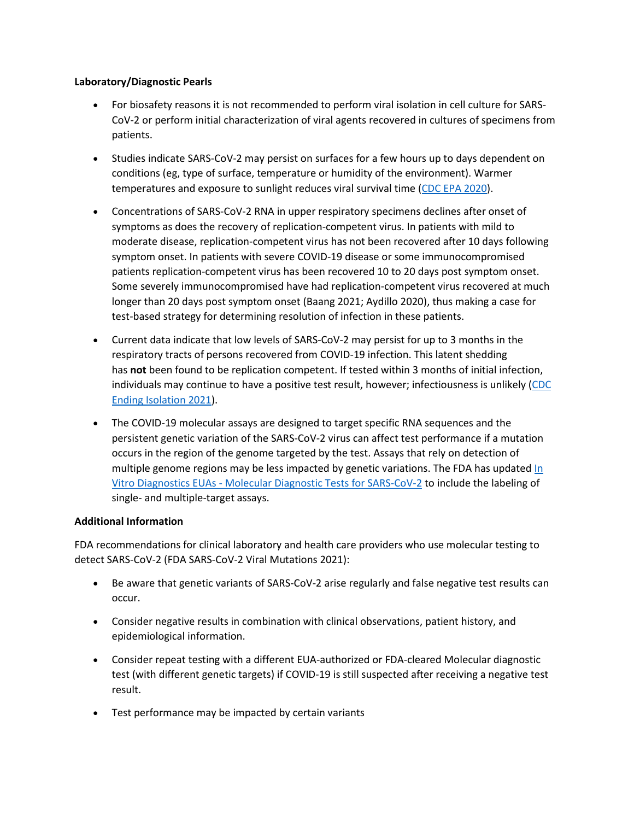## **Laboratory/Diagnostic Pearls**

- For biosafety reasons it is not recommended to perform viral isolation in cell culture for SARS-CoV-2 or perform initial characterization of viral agents recovered in cultures of specimens from patients.
- Studies indicate SARS-CoV-2 may persist on surfaces for a few hours up to days dependent on conditions (eg, type of surface, temperature or humidity of the environment). Warmer temperatures and exposure to sunlight reduces viral survival time [\(CDC EPA 2020\)](https://www.cdc.gov/coronavirus/2019-ncov/community/pdf/reopening_america_guidance.pdf).
- Concentrations of SARS-CoV-2 RNA in upper respiratory specimens declines after onset of symptoms as does the recovery of replication-competent virus. In patients with mild to moderate disease, replication-competent virus has not been recovered after 10 days following symptom onset. In patients with severe COVID-19 disease or some immunocompromised patients replication-competent virus has been recovered 10 to 20 days post symptom onset. Some severely immunocompromised have had replication-competent virus recovered at much longer than 20 days post symptom onset (Baang 2021; Aydillo 2020), thus making a case for test-based strategy for determining resolution of infection in these patients.
- Current data indicate that low levels of SARS-CoV-2 may persist for up to 3 months in the respiratory tracts of persons recovered from COVID-19 infection. This latent shedding has **not** been found to be replication competent. If tested within 3 months of initial infection, individuals may continue to have a positive test result, however; infectiousness is unlikely [\(CDC](https://www.cdc.gov/coronavirus/2019-ncov/hcp/duration-isolation.html)  [Ending Isolation 2021\)](https://www.cdc.gov/coronavirus/2019-ncov/hcp/duration-isolation.html).
- The COVID-19 molecular assays are designed to target specific RNA sequences and the persistent genetic variation of the SARS-CoV-2 virus can affect test performance if a mutation occurs in the region of the genome targeted by the test. Assays that rely on detection of multiple genome regions may be less impacted by genetic variations. The FDA has updated [In](https://www.fda.gov/medical-devices/coronavirus-disease-2019-covid-19-emergency-use-authorizations-medical-devices/in-vitro-diagnostics-euas-molecular-diagnostic-tests-sars-cov-2)  [Vitro Diagnostics EUAs - Molecular Diagnostic Tests for SARS-CoV-2](https://www.fda.gov/medical-devices/coronavirus-disease-2019-covid-19-emergency-use-authorizations-medical-devices/in-vitro-diagnostics-euas-molecular-diagnostic-tests-sars-cov-2) to include the labeling of single- and multiple-target assays.

## **Additional Information**

FDA recommendations for clinical laboratory and health care providers who use molecular testing to detect SARS-CoV-2 (FDA SARS-CoV-2 Viral Mutations 2021):

- Be aware that genetic variants of SARS-CoV-2 arise regularly and false negative test results can occur.
- Consider negative results in combination with clinical observations, patient history, and epidemiological information.
- Consider repeat testing with a different EUA-authorized or FDA-cleared Molecular diagnostic test (with different genetic targets) if COVID-19 is still suspected after receiving a negative test result.
- Test performance may be impacted by certain variants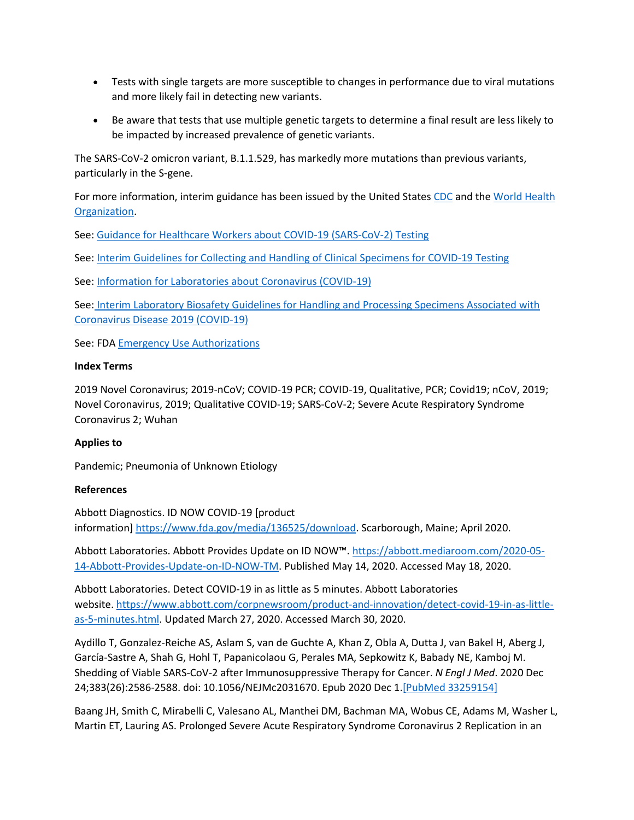- Tests with single targets are more susceptible to changes in performance due to viral mutations and more likely fail in detecting new variants.
- Be aware that tests that use multiple genetic targets to determine a final result are less likely to be impacted by increased prevalence of genetic variants.

The SARS-CoV-2 omicron variant, B.1.1.529, has markedly more mutations than previous variants, particularly in the S-gene.

For more information, interim guidance has been issued by the United States [CDC](https://www.cdc.gov/coronavirus/2019-ncov/index.html) and the [World Health](https://www.who.int/emergencies/diseases/novel-coronavirus-2019)  [Organization.](https://www.who.int/emergencies/diseases/novel-coronavirus-2019)

See: [Guidance for Healthcare Workers about COVID-19 \(SARS-CoV-2\) Testing](https://www.cdc.gov/coronavirus/2019-ncov/hcp/testing.html)

See: Interim Guidelines for Collecting and [Handling of Clinical Specimens for COVID-19 Testing](https://www.cdc.gov/coronavirus/2019-nCoV/lab/guidelines-clinical-specimens.html)

See: [Information for Laboratories about Coronavirus \(COVID-19\)](https://www.cdc.gov/coronavirus/2019-ncov/lab/index.html?CDC_AA_refVal=https%3A%2F%2Fwww.cdc.gov%2Fcoronavirus%2F2019-ncov%2Fguidance-laboratories.html)

See: [Interim Laboratory Biosafety Guidelines for Handling and Processing Specimens Associated with](https://www.cdc.gov/coronavirus/2019-ncov/lab/lab-biosafety-guidelines.html?CDC_AA_refVal=https%3A%2F%2Fwww.cdc.gov%2Fcoronavirus%2F2019-ncov%2Flab-biosafety-guidelines.html)  [Coronavirus Disease 2019 \(COVID-19\)](https://www.cdc.gov/coronavirus/2019-ncov/lab/lab-biosafety-guidelines.html?CDC_AA_refVal=https%3A%2F%2Fwww.cdc.gov%2Fcoronavirus%2F2019-ncov%2Flab-biosafety-guidelines.html)

See: FDA [Emergency Use Authorizations](https://www.fda.gov/emergency-preparedness-and-response/mcm-legal-regulatory-and-policy-framework/emergency-use-authorization)

### **Index Terms**

2019 Novel Coronavirus; 2019-nCoV; COVID-19 PCR; COVID-19, Qualitative, PCR; Covid19; nCoV, 2019; Novel Coronavirus, 2019; Qualitative COVID-19; SARS-CoV-2; Severe Acute Respiratory Syndrome Coronavirus 2; Wuhan

## **Applies to**

Pandemic; Pneumonia of Unknown Etiology

### **References**

Abbott Diagnostics. ID NOW COVID-19 [product information] [https://www.fda.gov/media/136525/download.](https://www.fda.gov/media/136525/download) Scarborough, Maine; April 2020.

Abbott Laboratories. Abbott Provides Update on ID NOW™. [https://abbott.mediaroom.com/2020-05-](https://abbott.mediaroom.com/2020-05-14-Abbott-Provides-Update-on-ID-NOW-TM) [14-Abbott-Provides-Update-on-ID-NOW-TM.](https://abbott.mediaroom.com/2020-05-14-Abbott-Provides-Update-on-ID-NOW-TM) Published May 14, 2020. Accessed May 18, 2020.

Abbott Laboratories. Detect COVID-19 in as little as 5 minutes. Abbott Laboratories website. [https://www.abbott.com/corpnewsroom/product-and-innovation/detect-covid-19-in-as-little](https://www.abbott.com/corpnewsroom/product-and-innovation/detect-covid-19-in-as-little-as-5-minutes.html)[as-5-minutes.html.](https://www.abbott.com/corpnewsroom/product-and-innovation/detect-covid-19-in-as-little-as-5-minutes.html) Updated March 27, 2020. Accessed March 30, 2020.

Aydillo T, Gonzalez-Reiche AS, Aslam S, van de Guchte A, Khan Z, Obla A, Dutta J, van Bakel H, Aberg J, García-Sastre A, Shah G, Hohl T, Papanicolaou G, Perales MA, Sepkowitz K, Babady NE, Kamboj M. Shedding of Viable SARS-CoV-2 after Immunosuppressive Therapy for Cancer. *N Engl J Med*. 2020 Dec 24;383(26):2586-2588. doi: 10.1056/NEJMc2031670. Epub 2020 Dec 1[.\[PubMed 33259154\]](https://www.ncbi.nlm.nih.gov/entrez/query.fcgi?cmd=Retrieve&db=pubmed&dopt=Abstract&list_uids=33259154)

Baang JH, Smith C, Mirabelli C, Valesano AL, Manthei DM, Bachman MA, Wobus CE, Adams M, Washer L, Martin ET, Lauring AS. Prolonged Severe Acute Respiratory Syndrome Coronavirus 2 Replication in an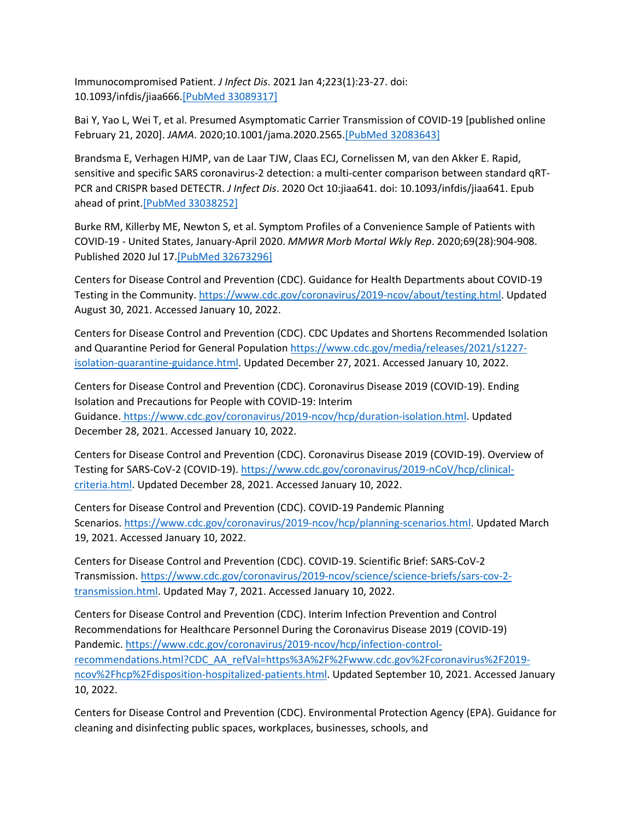Immunocompromised Patient. *J Infect Dis*. 2021 Jan 4;223(1):23-27. doi: 10.1093/infdis/jiaa666[.\[PubMed 33089317\]](https://www.ncbi.nlm.nih.gov/entrez/query.fcgi?cmd=Retrieve&db=pubmed&dopt=Abstract&list_uids=33089317)

Bai Y, Yao L, Wei T, et al. Presumed Asymptomatic Carrier Transmission of COVID-19 [published online February 21, 2020]. *JAMA*. 2020;10.1001/jama.2020.2565[.\[PubMed 32083643\]](https://www.ncbi.nlm.nih.gov/entrez/query.fcgi?cmd=Retrieve&db=pubmed&dopt=Abstract&list_uids=32083643)

Brandsma E, Verhagen HJMP, van de Laar TJW, Claas ECJ, Cornelissen M, van den Akker E. Rapid, sensitive and specific SARS coronavirus-2 detection: a multi-center comparison between standard qRT-PCR and CRISPR based DETECTR. *J Infect Dis*. 2020 Oct 10:jiaa641. doi: 10.1093/infdis/jiaa641. Epub ahead of print[.\[PubMed 33038252\]](https://www.ncbi.nlm.nih.gov/entrez/query.fcgi?cmd=Retrieve&db=pubmed&dopt=Abstract&list_uids=33038252)

Burke RM, Killerby ME, Newton S, et al. Symptom Profiles of a Convenience Sample of Patients with COVID-19 - United States, January-April 2020. *MMWR Morb Mortal Wkly Rep*. 2020;69(28):904-908. Published 2020 Jul 17[.\[PubMed 32673296\]](https://www.ncbi.nlm.nih.gov/entrez/query.fcgi?cmd=Retrieve&db=pubmed&dopt=Abstract&list_uids=32673296)

Centers for Disease Control and Prevention (CDC). Guidance for Health Departments about COVID-19 Testing in the Community. [https://www.cdc.gov/coronavirus/2019-ncov/about/testing.html.](https://www.cdc.gov/coronavirus/2019-ncov/about/testing.html) Updated August 30, 2021. Accessed January 10, 2022.

Centers for Disease Control and Prevention (CDC). CDC Updates and Shortens Recommended Isolation and Quarantine Period for General Population [https://www.cdc.gov/media/releases/2021/s1227](https://www.cdc.gov/media/releases/2021/s1227-isolation-quarantine-guidance.html) [isolation-quarantine-guidance.html.](https://www.cdc.gov/media/releases/2021/s1227-isolation-quarantine-guidance.html) Updated December 27, 2021. Accessed January 10, 2022.

Centers for Disease Control and Prevention (CDC). Coronavirus Disease 2019 (COVID-19). Ending Isolation and Precautions for People with COVID-19: Interim Guidance. [https://www.cdc.gov/coronavirus/2019-ncov/hcp/duration-isolation.html.](https://www.cdc.gov/coronavirus/2019-ncov/hcp/duration-isolation.html) Updated December 28, 2021. Accessed January 10, 2022.

Centers for Disease Control and Prevention (CDC). Coronavirus Disease 2019 (COVID-19). Overview of Testing for SARS-CoV-2 (COVID-19). [https://www.cdc.gov/coronavirus/2019-nCoV/hcp/clinical](https://www.cdc.gov/coronavirus/2019-ncov/hcp/testing-overview.html)[criteria.html.](https://www.cdc.gov/coronavirus/2019-ncov/hcp/testing-overview.html) Updated December 28, 2021. Accessed January 10, 2022.

Centers for Disease Control and Prevention (CDC). COVID-19 Pandemic Planning Scenarios. [https://www.cdc.gov/coronavirus/2019-ncov/hcp/planning-scenarios.html.](https://www.cdc.gov/coronavirus/2019-ncov/hcp/planning-scenarios.html) Updated March 19, 2021. Accessed January 10, 2022.

Centers for Disease Control and Prevention (CDC). COVID-19. Scientific Brief: SARS-CoV-2 Transmission. [https://www.cdc.gov/coronavirus/2019-ncov/science/science-briefs/sars-cov-2](https://www.cdc.gov/coronavirus/2019-ncov/science/science-briefs/sars-cov-2-transmission.html) [transmission.html.](https://www.cdc.gov/coronavirus/2019-ncov/science/science-briefs/sars-cov-2-transmission.html) Updated May 7, 2021. Accessed January 10, 2022.

Centers for Disease Control and Prevention (CDC). Interim Infection Prevention and Control Recommendations for Healthcare Personnel During the Coronavirus Disease 2019 (COVID-19) Pandemic. [https://www.cdc.gov/coronavirus/2019-ncov/hcp/infection-control](https://www.cdc.gov/coronavirus/2019-ncov/hcp/infection-control-recommendations.html?CDC_AA_refVal=https%3A%2F%2Fwww.cdc.gov%2Fcoronavirus%2F2019-ncov%2Fhcp%2Fdisposition-hospitalized-patients.html)[recommendations.html?CDC\\_AA\\_refVal=https%3A%2F%2Fwww.cdc.gov%2Fcoronavirus%2F2019](https://www.cdc.gov/coronavirus/2019-ncov/hcp/infection-control-recommendations.html?CDC_AA_refVal=https%3A%2F%2Fwww.cdc.gov%2Fcoronavirus%2F2019-ncov%2Fhcp%2Fdisposition-hospitalized-patients.html) [ncov%2Fhcp%2Fdisposition-hospitalized-patients.html.](https://www.cdc.gov/coronavirus/2019-ncov/hcp/infection-control-recommendations.html?CDC_AA_refVal=https%3A%2F%2Fwww.cdc.gov%2Fcoronavirus%2F2019-ncov%2Fhcp%2Fdisposition-hospitalized-patients.html) Updated September 10, 2021. Accessed January 10, 2022.

Centers for Disease Control and Prevention (CDC). Environmental Protection Agency (EPA). Guidance for cleaning and disinfecting public spaces, workplaces, businesses, schools, and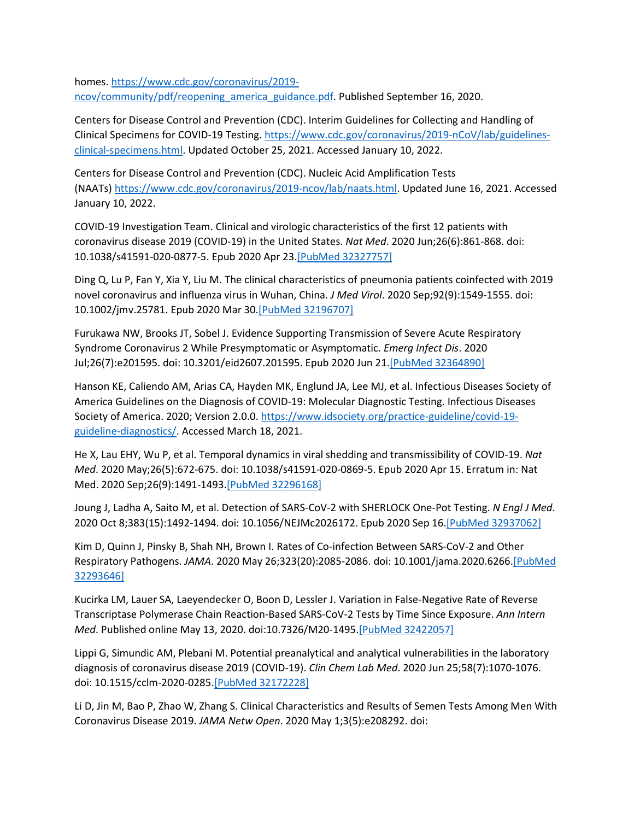homes. [https://www.cdc.gov/coronavirus/2019](https://www.cdc.gov/coronavirus/2019-ncov/community/pdf/reopening_america_guidance.pdf) [ncov/community/pdf/reopening\\_america\\_guidance.pdf.](https://www.cdc.gov/coronavirus/2019-ncov/community/pdf/reopening_america_guidance.pdf) Published September 16, 2020.

Centers for Disease Control and Prevention (CDC). Interim Guidelines for Collecting and Handling of Clinical Specimens for COVID-19 Testing. [https://www.cdc.gov/coronavirus/2019-nCoV/lab/guidelines](https://www.cdc.gov/coronavirus/2019-nCoV/lab/guidelines-clinical-specimens.html)[clinical-specimens.html.](https://www.cdc.gov/coronavirus/2019-nCoV/lab/guidelines-clinical-specimens.html) Updated October 25, 2021. Accessed January 10, 2022.

Centers for Disease Control and Prevention (CDC). Nucleic Acid Amplification Tests (NAATs) [https://www.cdc.gov/coronavirus/2019-ncov/lab/naats.html.](https://www.cdc.gov/coronavirus/2019-ncov/lab/naats.html) Updated June 16, 2021. Accessed January 10, 2022.

COVID-19 Investigation Team. Clinical and virologic characteristics of the first 12 patients with coronavirus disease 2019 (COVID-19) in the United States. *Nat Med*. 2020 Jun;26(6):861-868. doi: 10.1038/s41591-020-0877-5. Epub 2020 Apr 23[.\[PubMed 32327757\]](https://www.ncbi.nlm.nih.gov/entrez/query.fcgi?cmd=Retrieve&db=pubmed&dopt=Abstract&list_uids=32327757)

Ding Q, Lu P, Fan Y, Xia Y, Liu M. The clinical characteristics of pneumonia patients coinfected with 2019 novel coronavirus and influenza virus in Wuhan, China. *J Med Virol*. 2020 Sep;92(9):1549-1555. doi: 10.1002/jmv.25781. Epub 2020 Mar 30[.\[PubMed 32196707\]](https://www.ncbi.nlm.nih.gov/entrez/query.fcgi?cmd=Retrieve&db=pubmed&dopt=Abstract&list_uids=32196707)

Furukawa NW, Brooks JT, Sobel J. Evidence Supporting Transmission of Severe Acute Respiratory Syndrome Coronavirus 2 While Presymptomatic or Asymptomatic. *Emerg Infect Dis*. 2020 Jul;26(7):e201595. doi: 10.3201/eid2607.201595. Epub 2020 Jun 21[.\[PubMed 32364890\]](https://www.ncbi.nlm.nih.gov/entrez/query.fcgi?cmd=Retrieve&db=pubmed&dopt=Abstract&list_uids=32364890)

Hanson KE, Caliendo AM, Arias CA, Hayden MK, Englund JA, Lee MJ, et al. Infectious Diseases Society of America Guidelines on the Diagnosis of COVID-19: Molecular Diagnostic Testing. Infectious Diseases Society of America. 2020; Version 2.0.0. [https://www.idsociety.org/practice-guideline/covid-19](https://www.idsociety.org/practice-guideline/covid-19-guideline-diagnostics/) [guideline-diagnostics/.](https://www.idsociety.org/practice-guideline/covid-19-guideline-diagnostics/) Accessed March 18, 2021.

He X, Lau EHY, Wu P, et al. Temporal dynamics in viral shedding and transmissibility of COVID-19. *Nat Med*. 2020 May;26(5):672-675. doi: 10.1038/s41591-020-0869-5. Epub 2020 Apr 15. Erratum in: Nat Med. 2020 Sep;26(9):1491-1493[.\[PubMed 32296168\]](https://www.ncbi.nlm.nih.gov/entrez/query.fcgi?cmd=Retrieve&db=pubmed&dopt=Abstract&list_uids=32296168)

Joung J, Ladha A, Saito M, et al. Detection of SARS-CoV-2 with SHERLOCK One-Pot Testing. *N Engl J Med*. 2020 Oct 8;383(15):1492-1494. doi: 10.1056/NEJMc2026172. Epub 2020 Sep 16[.\[PubMed 32937062\]](https://www.ncbi.nlm.nih.gov/entrez/query.fcgi?cmd=Retrieve&db=pubmed&dopt=Abstract&list_uids=32937062)

Kim D, Quinn J, Pinsky B, Shah NH, Brown I. Rates of Co-infection Between SARS-CoV-2 and Other Respiratory Pathogens. *JAMA*. 2020 May 26;323(20):2085-2086. doi: 10.1001/jama.2020.626[6.\[PubMed](https://www.ncbi.nlm.nih.gov/entrez/query.fcgi?cmd=Retrieve&db=pubmed&dopt=Abstract&list_uids=32293646)  [32293646\]](https://www.ncbi.nlm.nih.gov/entrez/query.fcgi?cmd=Retrieve&db=pubmed&dopt=Abstract&list_uids=32293646)

Kucirka LM, Lauer SA, Laeyendecker O, Boon D, Lessler J. Variation in False-Negative Rate of Reverse Transcriptase Polymerase Chain Reaction-Based SARS-CoV-2 Tests by Time Since Exposure. *Ann Intern Med*. Published online May 13, 2020. doi:10.7326/M20-1495. [PubMed 32422057]

Lippi G, Simundic AM, Plebani M. Potential preanalytical and analytical vulnerabilities in the laboratory diagnosis of coronavirus disease 2019 (COVID-19). *Clin Chem Lab Med*. 2020 Jun 25;58(7):1070-1076. doi: 10.1515/cclm-2020-028[5.\[PubMed 32172228\]](https://www.ncbi.nlm.nih.gov/entrez/query.fcgi?cmd=Retrieve&db=pubmed&dopt=Abstract&list_uids=32172228)

Li D, Jin M, Bao P, Zhao W, Zhang S. Clinical Characteristics and Results of Semen Tests Among Men With Coronavirus Disease 2019. *JAMA Netw Open*. 2020 May 1;3(5):e208292. doi: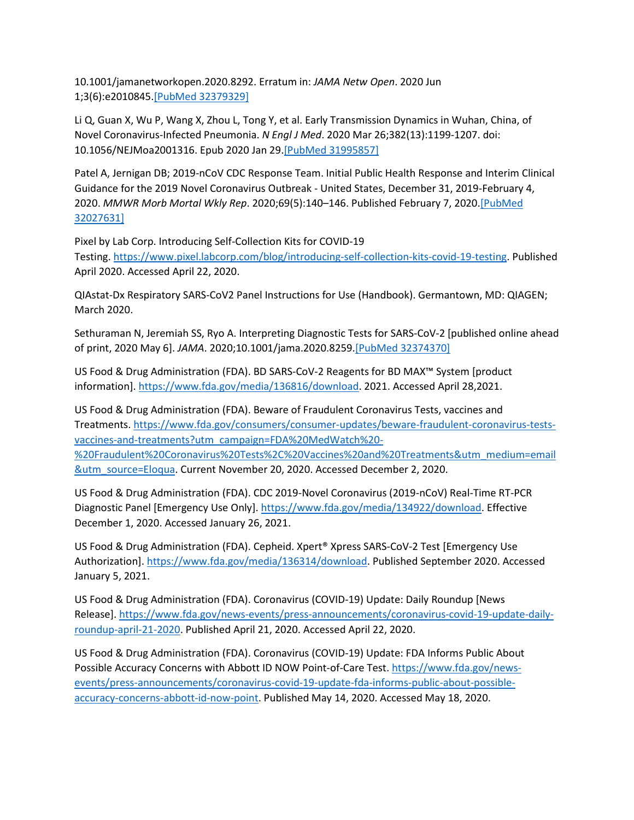10.1001/jamanetworkopen.2020.8292. Erratum in: *JAMA Netw Open*. 2020 Jun 1;3(6):e2010845[.\[PubMed 32379329\]](https://www.ncbi.nlm.nih.gov/entrez/query.fcgi?cmd=Retrieve&db=pubmed&dopt=Abstract&list_uids=32379329)

Li Q, Guan X, Wu P, Wang X, Zhou L, Tong Y, et al. Early Transmission Dynamics in Wuhan, China, of Novel Coronavirus-Infected Pneumonia. *N Engl J Med*. 2020 Mar 26;382(13):1199-1207. doi: 10.1056/NEJMoa2001316. Epub 2020 Jan 29[.\[PubMed 31995857\]](https://www.ncbi.nlm.nih.gov/entrez/query.fcgi?cmd=Retrieve&db=pubmed&dopt=Abstract&list_uids=31995857)

Patel A, Jernigan DB; 2019-nCoV CDC Response Team. Initial Public Health Response and Interim Clinical Guidance for the 2019 Novel Coronavirus Outbreak - United States, December 31, 2019-February 4, 2020. *MMWR Morb Mortal Wkly Rep*. 2020;69(5):140–146. Published February 7, 2020[.\[PubMed](https://www.ncbi.nlm.nih.gov/entrez/query.fcgi?cmd=Retrieve&db=pubmed&dopt=Abstract&list_uids=32027631)  [32027631\]](https://www.ncbi.nlm.nih.gov/entrez/query.fcgi?cmd=Retrieve&db=pubmed&dopt=Abstract&list_uids=32027631)

Pixel by Lab Corp. Introducing Self-Collection Kits for COVID-19 Testing. [https://www.pixel.labcorp.com/blog/introducing-self-collection-kits-covid-19-testing.](https://www.pixel.labcorp.com/blog/introducing-self-collection-kits-covid-19-testing) Published April 2020. Accessed April 22, 2020.

QIAstat-Dx Respiratory SARS-CoV2 Panel Instructions for Use (Handbook). Germantown, MD: QIAGEN; March 2020.

Sethuraman N, Jeremiah SS, Ryo A. Interpreting Diagnostic Tests for SARS-CoV-2 [published online ahead of print, 2020 May 6]. *JAMA*. 2020;10.1001/jama.2020.8259[.\[PubMed 32374370\]](https://www.ncbi.nlm.nih.gov/entrez/query.fcgi?cmd=Retrieve&db=pubmed&dopt=Abstract&list_uids=32374370)

US Food & Drug Administration (FDA). BD SARS-CoV-2 Reagents for BD MAX™ System [product information]. [https://www.fda.gov/media/136816/download.](https://www.fda.gov/media/136816/download) 2021. Accessed April 28,2021.

US Food & Drug Administration (FDA). Beware of Fraudulent Coronavirus Tests, vaccines and Treatments. [https://www.fda.gov/consumers/consumer-updates/beware-fraudulent-coronavirus-tests](https://www.fda.gov/consumers/consumer-updates/beware-fraudulent-coronavirus-tests-vaccines-and-treatments?utm_campaign=FDA%20MedWatch%20-%20Fraudulent%20Coronavirus%20Tests%2C%20Vaccines%20and%20Treatments&utm_medium=email&utm_source=Eloqua)[vaccines-and-treatments?utm\\_campaign=FDA%20MedWatch%20-](https://www.fda.gov/consumers/consumer-updates/beware-fraudulent-coronavirus-tests-vaccines-and-treatments?utm_campaign=FDA%20MedWatch%20-%20Fraudulent%20Coronavirus%20Tests%2C%20Vaccines%20and%20Treatments&utm_medium=email&utm_source=Eloqua) [%20Fraudulent%20Coronavirus%20Tests%2C%20Vaccines%20and%20Treatments&utm\\_medium=email](https://www.fda.gov/consumers/consumer-updates/beware-fraudulent-coronavirus-tests-vaccines-and-treatments?utm_campaign=FDA%20MedWatch%20-%20Fraudulent%20Coronavirus%20Tests%2C%20Vaccines%20and%20Treatments&utm_medium=email&utm_source=Eloqua) [&utm\\_source=Eloqua.](https://www.fda.gov/consumers/consumer-updates/beware-fraudulent-coronavirus-tests-vaccines-and-treatments?utm_campaign=FDA%20MedWatch%20-%20Fraudulent%20Coronavirus%20Tests%2C%20Vaccines%20and%20Treatments&utm_medium=email&utm_source=Eloqua) Current November 20, 2020. Accessed December 2, 2020.

US Food & Drug Administration (FDA). CDC 2019-Novel Coronavirus (2019-nCoV) Real-Time RT-PCR Diagnostic Panel [Emergency Use Only]. [https://www.fda.gov/media/134922/download.](https://www.fda.gov/media/134922/download) Effective December 1, 2020. Accessed January 26, 2021.

US Food & Drug Administration (FDA). Cepheid. Xpert® Xpress SARS-CoV-2 Test [Emergency Use Authorization]. [https://www.fda.gov/media/136314/download.](https://www.fda.gov/media/136314/download) Published September 2020. Accessed January 5, 2021.

US Food & Drug Administration (FDA). Coronavirus (COVID-19) Update: Daily Roundup [News Release]. [https://www.fda.gov/news-events/press-announcements/coronavirus-covid-19-update-daily](https://www.fda.gov/news-events/press-announcements/coronavirus-covid-19-update-daily-roundup-april-21-2020)[roundup-april-21-2020.](https://www.fda.gov/news-events/press-announcements/coronavirus-covid-19-update-daily-roundup-april-21-2020) Published April 21, 2020. Accessed April 22, 2020.

US Food & Drug Administration (FDA). Coronavirus (COVID-19) Update: FDA Informs Public About Possible Accuracy Concerns with Abbott ID NOW Point-of-Care Test. [https://www.fda.gov/news](https://www.fda.gov/news-events/press-announcements/coronavirus-covid-19-update-fda-informs-public-about-possible-accuracy-concerns-abbott-id-now-point)[events/press-announcements/coronavirus-covid-19-update-fda-informs-public-about-possible](https://www.fda.gov/news-events/press-announcements/coronavirus-covid-19-update-fda-informs-public-about-possible-accuracy-concerns-abbott-id-now-point)[accuracy-concerns-abbott-id-now-point.](https://www.fda.gov/news-events/press-announcements/coronavirus-covid-19-update-fda-informs-public-about-possible-accuracy-concerns-abbott-id-now-point) Published May 14, 2020. Accessed May 18, 2020.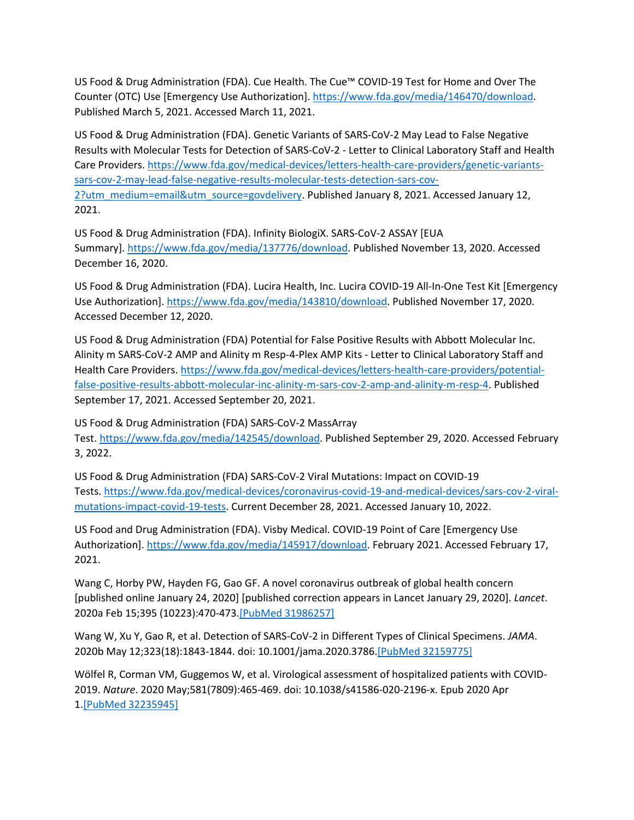US Food & Drug Administration (FDA). Cue Health. The Cue™ COVID-19 Test for Home and Over The Counter (OTC) Use [Emergency Use Authorization]. [https://www.fda.gov/media/146470/download.](https://www.fda.gov/media/146470/download) Published March 5, 2021. Accessed March 11, 2021.

US Food & Drug Administration (FDA). Genetic Variants of SARS-CoV-2 May Lead to False Negative Results with Molecular Tests for Detection of SARS-CoV-2 - Letter to Clinical Laboratory Staff and Health Care Providers. [https://www.fda.gov/medical-devices/letters-health-care-providers/genetic-variants](https://www.fda.gov/medical-devices/letters-health-care-providers/genetic-variants-sars-cov-2-may-lead-false-negative-results-molecular-tests-detection-sars-cov-2?utm_medium=email&utm_source=govdelivery)[sars-cov-2-may-lead-false-negative-results-molecular-tests-detection-sars-cov-](https://www.fda.gov/medical-devices/letters-health-care-providers/genetic-variants-sars-cov-2-may-lead-false-negative-results-molecular-tests-detection-sars-cov-2?utm_medium=email&utm_source=govdelivery)[2?utm\\_medium=email&utm\\_source=govdelivery.](https://www.fda.gov/medical-devices/letters-health-care-providers/genetic-variants-sars-cov-2-may-lead-false-negative-results-molecular-tests-detection-sars-cov-2?utm_medium=email&utm_source=govdelivery) Published January 8, 2021. Accessed January 12, 2021.

US Food & Drug Administration (FDA). Infinity BiologiX. SARS-CoV-2 ASSAY [EUA Summary]. [https://www.fda.gov/media/137776/download.](https://www.fda.gov/media/137776/download) Published November 13, 2020. Accessed December 16, 2020.

US Food & Drug Administration (FDA). Lucira Health, Inc. Lucira COVID-19 All-In-One Test Kit [Emergency Use Authorization]. [https://www.fda.gov/media/143810/download.](https://www.fda.gov/media/143810/download) Published November 17, 2020. Accessed December 12, 2020.

US Food & Drug Administration (FDA) Potential for False Positive Results with Abbott Molecular Inc. Alinity m SARS-CoV-2 AMP and Alinity m Resp-4-Plex AMP Kits - Letter to Clinical Laboratory Staff and Health Care Providers. [https://www.fda.gov/medical-devices/letters-health-care-providers/potential](https://www.fda.gov/medical-devices/letters-health-care-providers/potential-false-positive-results-abbott-molecular-inc-alinity-m-sars-cov-2-amp-and-alinity-m-resp-4)[false-positive-results-abbott-molecular-inc-alinity-m-sars-cov-2-amp-and-alinity-m-resp-4.](https://www.fda.gov/medical-devices/letters-health-care-providers/potential-false-positive-results-abbott-molecular-inc-alinity-m-sars-cov-2-amp-and-alinity-m-resp-4) Published September 17, 2021. Accessed September 20, 2021.

US Food & Drug Administration (FDA) SARS-CoV-2 MassArray Test. [https://www.fda.gov/media/142545/download.](https://www.fda.gov/media/142545/download) Published September 29, 2020. Accessed February 3, 2022.

US Food & Drug Administration (FDA) SARS-CoV-2 Viral Mutations: Impact on COVID-19 Tests. [https://www.fda.gov/medical-devices/coronavirus-covid-19-and-medical-devices/sars-cov-2-viral](https://www.fda.gov/medical-devices/coronavirus-covid-19-and-medical-devices/sars-cov-2-viral-mutations-impact-covid-19-tests)[mutations-impact-covid-19-tests.](https://www.fda.gov/medical-devices/coronavirus-covid-19-and-medical-devices/sars-cov-2-viral-mutations-impact-covid-19-tests) Current December 28, 2021. Accessed January 10, 2022.

US Food and Drug Administration (FDA). Visby Medical. COVID-19 Point of Care [Emergency Use Authorization]. [https://www.fda.gov/media/145917/download.](https://www.fda.gov/media/145917/download) February 2021. Accessed February 17, 2021.

Wang C, Horby PW, Hayden FG, Gao GF. A novel coronavirus outbreak of global health concern [published online January 24, 2020] [published correction appears in Lancet January 29, 2020]. *Lancet*. 2020a Feb 15;395 (10223):470-473[.\[PubMed 31986257\]](https://www.ncbi.nlm.nih.gov/entrez/query.fcgi?cmd=Retrieve&db=pubmed&dopt=Abstract&list_uids=31986257)

Wang W, Xu Y, Gao R, et al. Detection of SARS-CoV-2 in Different Types of Clinical Specimens. *JAMA*. 2020b May 12;323(18):1843-1844. doi: 10.1001/jama.2020.3786[.\[PubMed 32159775\]](https://www.ncbi.nlm.nih.gov/entrez/query.fcgi?cmd=Retrieve&db=pubmed&dopt=Abstract&list_uids=32159775)

Wölfel R, Corman VM, Guggemos W, et al. Virological assessment of hospitalized patients with COVID-2019. *Nature*. 2020 May;581(7809):465-469. doi: 10.1038/s41586-020-2196-x. Epub 2020 Apr 1[.\[PubMed 32235945\]](https://www.ncbi.nlm.nih.gov/entrez/query.fcgi?cmd=Retrieve&db=pubmed&dopt=Abstract&list_uids=32235945)